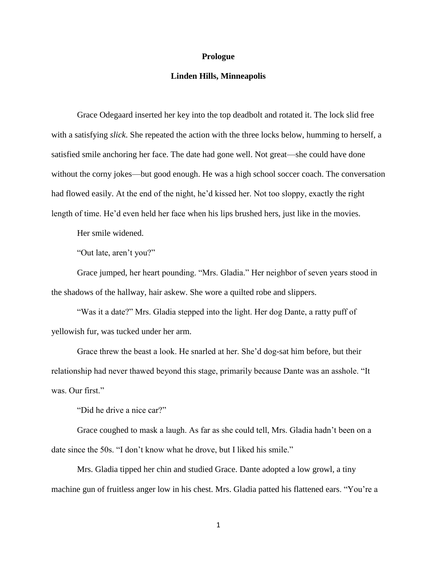## **Prologue**

## **Linden Hills, Minneapolis**

Grace Odegaard inserted her key into the top deadbolt and rotated it. The lock slid free with a satisfying *slick*. She repeated the action with the three locks below, humming to herself, a satisfied smile anchoring her face. The date had gone well. Not great—she could have done without the corny jokes—but good enough. He was a high school soccer coach. The conversation had flowed easily. At the end of the night, he'd kissed her. Not too sloppy, exactly the right length of time. He'd even held her face when his lips brushed hers, just like in the movies.

Her smile widened.

"Out late, aren't you?"

Grace jumped, her heart pounding. "Mrs. Gladia." Her neighbor of seven years stood in the shadows of the hallway, hair askew. She wore a quilted robe and slippers.

"Was it a date?" Mrs. Gladia stepped into the light. Her dog Dante, a ratty puff of yellowish fur, was tucked under her arm.

Grace threw the beast a look. He snarled at her. She'd dog-sat him before, but their relationship had never thawed beyond this stage, primarily because Dante was an asshole. "It was. Our first."

"Did he drive a nice car?"

Grace coughed to mask a laugh. As far as she could tell, Mrs. Gladia hadn't been on a date since the 50s. "I don't know what he drove, but I liked his smile."

Mrs. Gladia tipped her chin and studied Grace. Dante adopted a low growl, a tiny machine gun of fruitless anger low in his chest. Mrs. Gladia patted his flattened ears. "You're a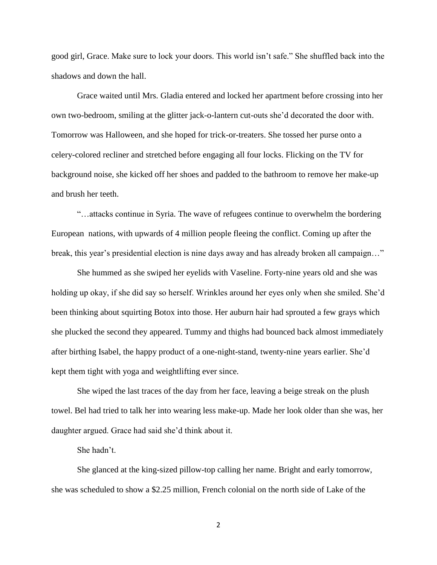good girl, Grace. Make sure to lock your doors. This world isn't safe." She shuffled back into the shadows and down the hall.

Grace waited until Mrs. Gladia entered and locked her apartment before crossing into her own two-bedroom, smiling at the glitter jack-o-lantern cut-outs she'd decorated the door with. Tomorrow was Halloween, and she hoped for trick-or-treaters. She tossed her purse onto a celery-colored recliner and stretched before engaging all four locks. Flicking on the TV for background noise, she kicked off her shoes and padded to the bathroom to remove her make-up and brush her teeth.

"…attacks continue in Syria. The wave of refugees continue to overwhelm the bordering European nations, with upwards of 4 million people fleeing the conflict. Coming up after the break, this year's presidential election is nine days away and has already broken all campaign..."

She hummed as she swiped her eyelids with Vaseline. Forty-nine years old and she was holding up okay, if she did say so herself. Wrinkles around her eyes only when she smiled. She'd been thinking about squirting Botox into those. Her auburn hair had sprouted a few grays which she plucked the second they appeared. Tummy and thighs had bounced back almost immediately after birthing Isabel, the happy product of a one-night-stand, twenty-nine years earlier. She'd kept them tight with yoga and weightlifting ever since.

She wiped the last traces of the day from her face, leaving a beige streak on the plush towel. Bel had tried to talk her into wearing less make-up. Made her look older than she was, her daughter argued. Grace had said she'd think about it.

She hadn't.

She glanced at the king-sized pillow-top calling her name. Bright and early tomorrow, she was scheduled to show a \$2.25 million, French colonial on the north side of Lake of the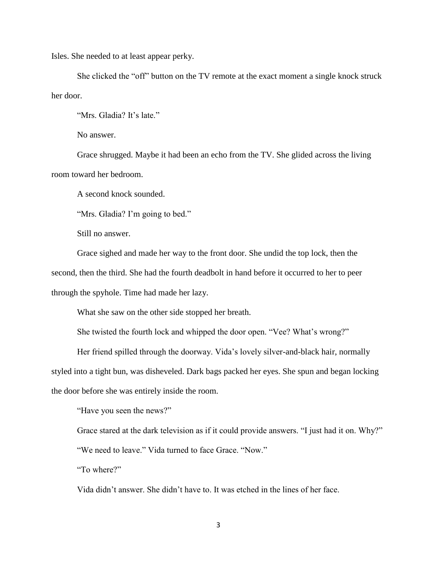Isles. She needed to at least appear perky.

She clicked the "off" button on the TV remote at the exact moment a single knock struck her door.

"Mrs. Gladia? It's late."

No answer.

Grace shrugged. Maybe it had been an echo from the TV. She glided across the living room toward her bedroom.

A second knock sounded.

"Mrs. Gladia? I'm going to bed."

Still no answer.

Grace sighed and made her way to the front door. She undid the top lock, then the second, then the third. She had the fourth deadbolt in hand before it occurred to her to peer through the spyhole. Time had made her lazy.

What she saw on the other side stopped her breath.

She twisted the fourth lock and whipped the door open. "Vee? What's wrong?"

Her friend spilled through the doorway. Vida's lovely silver-and-black hair, normally

styled into a tight bun, was disheveled. Dark bags packed her eyes. She spun and began locking

the door before she was entirely inside the room.

"Have you seen the news?"

Grace stared at the dark television as if it could provide answers. "I just had it on. Why?"

"We need to leave." Vida turned to face Grace. "Now."

"To where?"

Vida didn't answer. She didn't have to. It was etched in the lines of her face.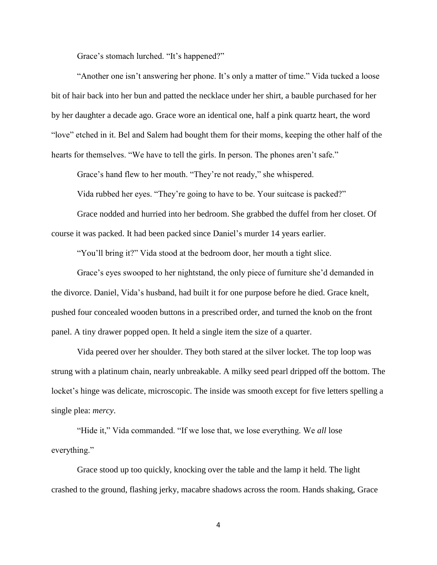Grace's stomach lurched. "It's happened?"

"Another one isn't answering her phone. It's only a matter of time." Vida tucked a loose bit of hair back into her bun and patted the necklace under her shirt, a bauble purchased for her by her daughter a decade ago. Grace wore an identical one, half a pink quartz heart, the word "love" etched in it. Bel and Salem had bought them for their moms, keeping the other half of the hearts for themselves. "We have to tell the girls. In person. The phones aren't safe."

Grace's hand flew to her mouth. "They're not ready," she whispered.

Vida rubbed her eyes. "They're going to have to be. Your suitcase is packed?"

Grace nodded and hurried into her bedroom. She grabbed the duffel from her closet. Of course it was packed. It had been packed since Daniel's murder 14 years earlier.

"You'll bring it?" Vida stood at the bedroom door, her mouth a tight slice.

Grace's eyes swooped to her nightstand, the only piece of furniture she'd demanded in the divorce. Daniel, Vida's husband, had built it for one purpose before he died. Grace knelt, pushed four concealed wooden buttons in a prescribed order, and turned the knob on the front panel. A tiny drawer popped open. It held a single item the size of a quarter.

Vida peered over her shoulder. They both stared at the silver locket. The top loop was strung with a platinum chain, nearly unbreakable. A milky seed pearl dripped off the bottom. The locket's hinge was delicate, microscopic. The inside was smooth except for five letters spelling a single plea: *mercy*.

"Hide it," Vida commanded. "If we lose that, we lose everything. We *all* lose everything."

Grace stood up too quickly, knocking over the table and the lamp it held. The light crashed to the ground, flashing jerky, macabre shadows across the room. Hands shaking, Grace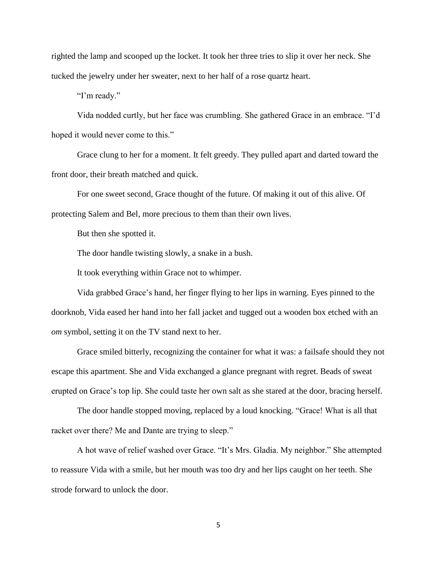righted the lamp and scooped up the locket. It took her three tries to slip it over her neck. She tucked the jewelry under her sweater, next to her half of a rose quartz heart.

"I'm ready."

Vida nodded curtly, but her face was crumbling. She gathered Grace in an embrace. "I'd hoped it would never come to this."

Grace clung to her for a moment. It felt greedy. They pulled apart and darted toward the front door, their breath matched and quick.

For one sweet second, Grace thought of the future. Of making it out of this alive. Of protecting Salem and Bel, more precious to them than their own lives.

But then she spotted it.

The door handle twisting slowly, a snake in a bush.

It took everything within Grace not to whimper.

Vida grabbed Grace's hand, her finger flying to her lips in warning. Eyes pinned to the doorknob, Vida eased her hand into her fall jacket and tugged out a wooden box etched with an *om* symbol, setting it on the TV stand next to her.

Grace smiled bitterly, recognizing the container for what it was: a failsafe should they not escape this apartment. She and Vida exchanged a glance pregnant with regret. Beads of sweat erupted on Grace's top lip. She could taste her own salt as she stared at the door, bracing herself.

The door handle stopped moving, replaced by a loud knocking. "Grace! What is all that racket over there? Me and Dante are trying to sleep."

A hot wave of relief washed over Grace. "It's Mrs. Gladia. My neighbor." She attempted to reassure Vida with a smile, but her mouth was too dry and her lips caught on her teeth. She strode forward to unlock the door.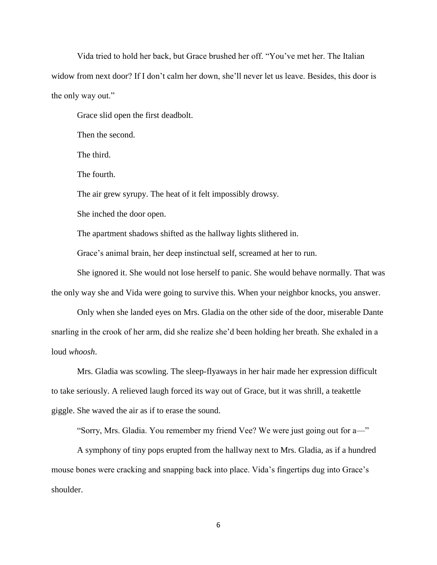Vida tried to hold her back, but Grace brushed her off. "You've met her. The Italian widow from next door? If I don't calm her down, she'll never let us leave. Besides, this door is the only way out."

Grace slid open the first deadbolt.

Then the second.

The third.

The fourth.

The air grew syrupy. The heat of it felt impossibly drowsy.

She inched the door open.

The apartment shadows shifted as the hallway lights slithered in.

Grace's animal brain, her deep instinctual self, screamed at her to run.

She ignored it. She would not lose herself to panic. She would behave normally. That was the only way she and Vida were going to survive this. When your neighbor knocks, you answer.

Only when she landed eyes on Mrs. Gladia on the other side of the door, miserable Dante snarling in the crook of her arm, did she realize she'd been holding her breath. She exhaled in a loud *whoosh*.

Mrs. Gladia was scowling. The sleep-flyaways in her hair made her expression difficult to take seriously. A relieved laugh forced its way out of Grace, but it was shrill, a teakettle giggle. She waved the air as if to erase the sound.

"Sorry, Mrs. Gladia. You remember my friend Vee? We were just going out for a—"

A symphony of tiny pops erupted from the hallway next to Mrs. Gladia, as if a hundred mouse bones were cracking and snapping back into place. Vida's fingertips dug into Grace's shoulder.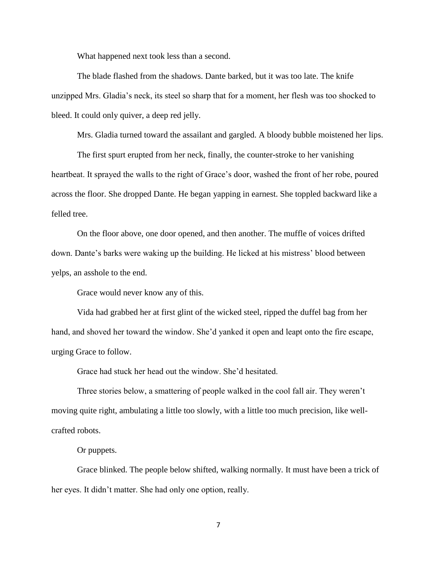What happened next took less than a second.

The blade flashed from the shadows. Dante barked, but it was too late. The knife unzipped Mrs. Gladia's neck, its steel so sharp that for a moment, her flesh was too shocked to bleed. It could only quiver, a deep red jelly.

Mrs. Gladia turned toward the assailant and gargled. A bloody bubble moistened her lips.

The first spurt erupted from her neck, finally, the counter-stroke to her vanishing heartbeat. It sprayed the walls to the right of Grace's door, washed the front of her robe, poured across the floor. She dropped Dante. He began yapping in earnest. She toppled backward like a felled tree.

On the floor above, one door opened, and then another. The muffle of voices drifted down. Dante's barks were waking up the building. He licked at his mistress' blood between yelps, an asshole to the end.

Grace would never know any of this.

Vida had grabbed her at first glint of the wicked steel, ripped the duffel bag from her hand, and shoved her toward the window. She'd yanked it open and leapt onto the fire escape, urging Grace to follow.

Grace had stuck her head out the window. She'd hesitated.

Three stories below, a smattering of people walked in the cool fall air. They weren't moving quite right, ambulating a little too slowly, with a little too much precision, like wellcrafted robots.

Or puppets.

Grace blinked. The people below shifted, walking normally. It must have been a trick of her eyes. It didn't matter. She had only one option, really.